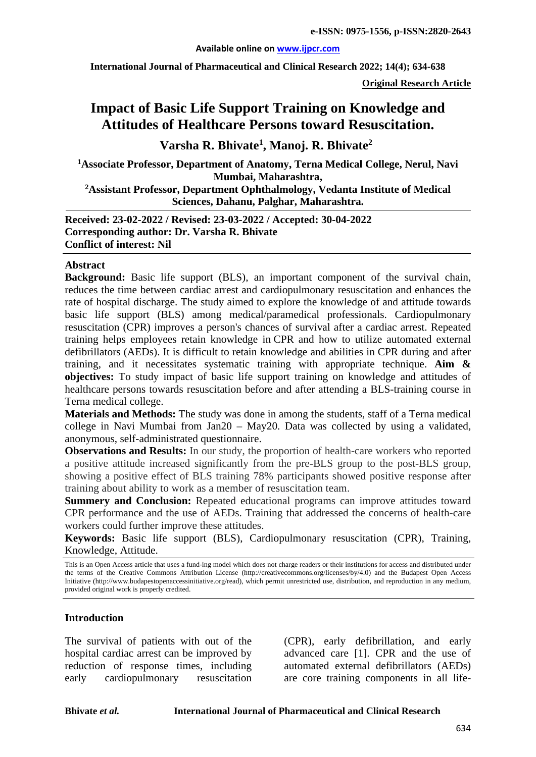#### **Available online on [www.ijpcr.com](http://www.ijpcr.com/)**

**International Journal of Pharmaceutical and Clinical Research 2022; 14(4); 634-638** 

**Original Research Article**

# **Impact of Basic Life Support Training on Knowledge and Attitudes of Healthcare Persons toward Resuscitation.**

**Varsha R. Bhivate<sup>1</sup> , Manoj. R. Bhivate<sup>2</sup>**

**1Associate Professor, Department of Anatomy, Terna Medical College, Nerul, Navi Mumbai, Maharashtra,** 

**2Assistant Professor, Department Ophthalmology, Vedanta Institute of Medical Sciences, Dahanu, Palghar, Maharashtra.** 

**Received: 23-02-2022 / Revised: 23-03-2022 / Accepted: 30-04-2022 Corresponding author: Dr. Varsha R. Bhivate Conflict of interest: Nil**

#### **Abstract**

**Background:** Basic life support (BLS), an important component of the survival chain, reduces the time between cardiac arrest and cardiopulmonary resuscitation and enhances the rate of hospital discharge. The study aimed to explore the knowledge of and attitude towards basic life support (BLS) among medical/paramedical professionals. Cardiopulmonary resuscitation (CPR) improves a person's chances of survival after a cardiac arrest. Repeated training helps employees retain knowledge in CPR and how to utilize automated external defibrillators (AEDs). It is difficult to retain knowledge and abilities in CPR during and after training, and it necessitates systematic training with appropriate technique. **Aim & objectives:** To study impact of basic life support training on knowledge and attitudes of healthcare persons towards resuscitation before and after attending a BLS-training course in Terna medical college.

**Materials and Methods:** The study was done in among the students, staff of a Terna medical college in Navi Mumbai from Jan20 – May20. Data was collected by using a validated, anonymous, self-administrated questionnaire.

**Observations and Results:** In our study, the proportion of health-care workers who reported a positive attitude increased significantly from the pre-BLS group to the post-BLS group, showing a positive effect of BLS training 78% participants showed positive response after training about ability to work as a member of resuscitation team.

**Summery and Conclusion:** Repeated educational programs can improve attitudes toward CPR performance and the use of AEDs. Training that addressed the concerns of health-care workers could further improve these attitudes.

**Keywords:** Basic life support (BLS), Cardiopulmonary resuscitation (CPR), Training, Knowledge, Attitude.

This is an Open Access article that uses a fund-ing model which does not charge readers or their institutions for access and distributed under the terms of the Creative Commons Attribution License (http://creativecommons.org/licenses/by/4.0) and the Budapest Open Access Initiative (http://www.budapestopenaccessinitiative.org/read), which permit unrestricted use, distribution, and reproduction in any medium, provided original work is properly credited.

#### **Introduction**

The survival of patients with out of the hospital cardiac arrest can be improved by reduction of response times, including early cardiopulmonary resuscitation

(CPR), early defibrillation, and early advanced care [1]. CPR and the use of automated external defibrillators (AEDs) are core training components in all life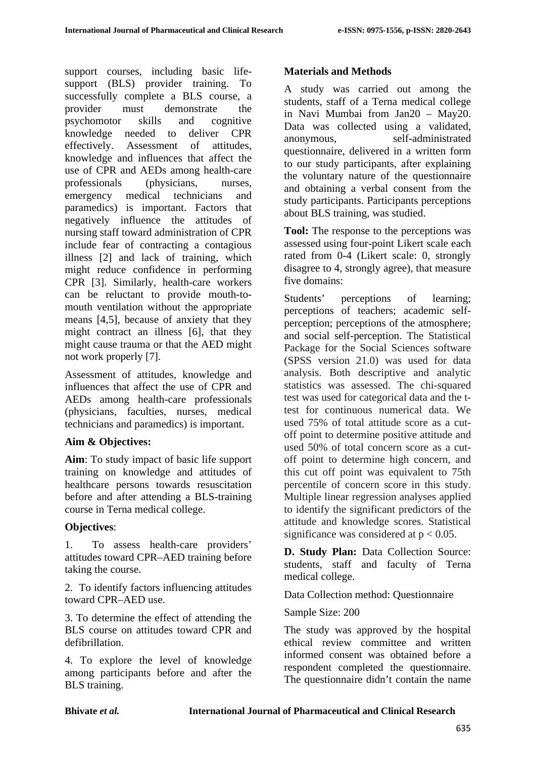support courses, including basic lifesupport (BLS) provider training. To successfully complete a BLS course, a provider must demonstrate the psychomotor skills and cognitive knowledge needed to deliver CPR effectively. Assessment of attitudes, knowledge and influences that affect the use of CPR and AEDs among health-care professionals (physicians, nurses, emergency medical technicians and paramedics) is important. Factors that negatively influence the attitudes of nursing staff toward administration of CPR include fear of contracting a contagious illness [2] and lack of training, which might reduce confidence in performing CPR [3]. Similarly, health-care workers can be reluctant to provide mouth-tomouth ventilation without the appropriate means [4,5], because of anxiety that they might contract an illness [6], that they might cause trauma or that the AED might not work properly [7].

Assessment of attitudes, knowledge and influences that affect the use of CPR and AEDs among health-care professionals (physicians, faculties, nurses, medical technicians and paramedics) is important.

## **Aim & Objectives:**

**Aim**: To study impact of basic life support training on knowledge and attitudes of healthcare persons towards resuscitation before and after attending a BLS-training course in Terna medical college.

## **Objectives**:

1. To assess health-care providers' attitudes toward CPR–AED training before taking the course.

2. To identify factors influencing attitudes toward CPR–AED use.

3. To determine the effect of attending the BLS course on attitudes toward CPR and defibrillation.

4. To explore the level of knowledge among participants before and after the BLS training.

## **Materials and Methods**

A study was carried out among the students, staff of a Terna medical college in Navi Mumbai from Jan20 – May20. Data was collected using a validated, anonymous, self-administrated questionnaire, delivered in a written form to our study participants, after explaining the voluntary nature of the questionnaire and obtaining a verbal consent from the study participants. Participants perceptions about BLS training, was studied.

**Tool:** The response to the perceptions was assessed using four-point Likert scale each rated from 0-4 (Likert scale: 0, strongly disagree to 4, strongly agree), that measure five domains:

Students' perceptions of learning; perceptions of teachers; academic selfperception; perceptions of the atmosphere; and social self-perception. The Statistical Package for the Social Sciences software (SPSS version 21.0) was used for data analysis. Both descriptive and analytic statistics was assessed. The chi-squared test was used for categorical data and the ttest for continuous numerical data. We used 75% of total attitude score as a cutoff point to determine positive attitude and used 50% of total concern score as a cutoff point to determine high concern, and this cut off point was equivalent to 75th percentile of concern score in this study. Multiple linear regression analyses applied to identify the significant predictors of the attitude and knowledge scores. Statistical significance was considered at  $p < 0.05$ .

**D. Study Plan:** Data Collection Source: students, staff and faculty of Terna medical college.

Data Collection method: Questionnaire

Sample Size: 200

The study was approved by the hospital ethical review committee and written informed consent was obtained before a respondent completed the questionnaire. The questionnaire didn't contain the name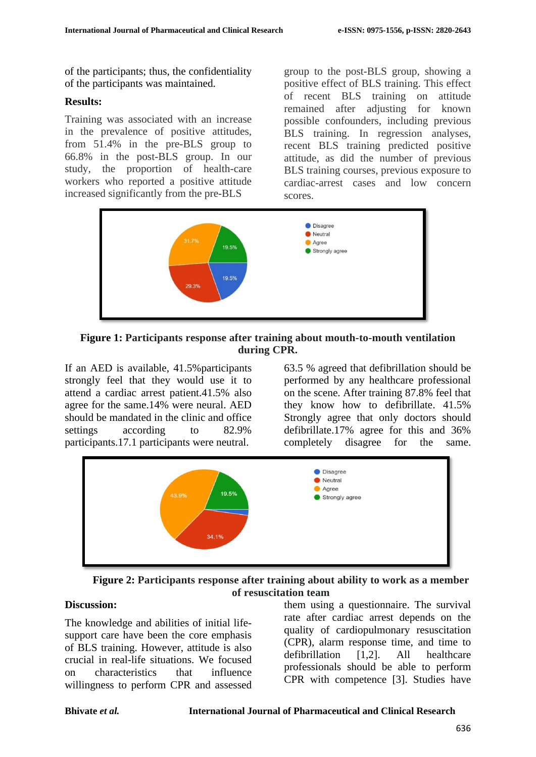of the participants; thus, the confidentiality of the participants was maintained.

### **Results:**

Training was associated with an increase in the prevalence of positive attitudes, from 51.4% in the pre-BLS group to 66.8% in the post-BLS group. In our study, the proportion of health-care workers who reported a positive attitude increased significantly from the pre-BLS

group to the post-BLS group, showing a positive effect of BLS training. This effect of recent BLS training on attitude remained after adjusting for known possible confounders, including previous BLS training. In regression analyses, recent BLS training predicted positive attitude, as did the number of previous BLS training courses, previous exposure to cardiac-arrest cases and low concern scores.



**Figure 1: Participants response after training about mouth-to-mouth ventilation during CPR.**

If an AED is available, 41.5%participants strongly feel that they would use it to attend a cardiac arrest patient.41.5% also agree for the same.14% were neural. AED should be mandated in the clinic and office settings according to 82.9% participants.17.1 participants were neutral.

63.5 % agreed that defibrillation should be performed by any healthcare professional on the scene. After training 87.8% feel that they know how to defibrillate. 41.5% Strongly agree that only doctors should defibrillate.17% agree for this and 36% completely disagree for the same.



**Figure 2: Participants response after training about ability to work as a member of resuscitation team**

### **Discussion:**

The knowledge and abilities of initial lifesupport care have been the core emphasis of BLS training. However, attitude is also crucial in real-life situations. We focused on characteristics that influence willingness to perform CPR and assessed them using a questionnaire. The survival rate after cardiac arrest depends on the quality of cardiopulmonary resuscitation (CPR), alarm response time, and time to defibrillation [1,2]. All healthcare professionals should be able to perform CPR with competence [3]. Studies have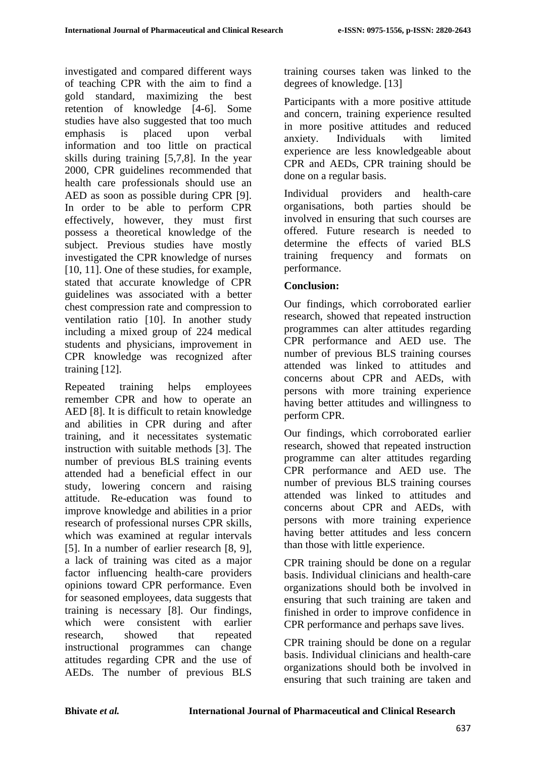investigated and compared different ways of teaching CPR with the aim to find a gold standard, maximizing the best retention of knowledge [4-6]. Some studies have also suggested that too much emphasis is placed upon verbal information and too little on practical skills during training [5,7,8]. In the year 2000, CPR guidelines recommended that health care professionals should use an AED as soon as possible during CPR [9]. In order to be able to perform CPR effectively, however, they must first possess a theoretical knowledge of the subject. Previous studies have mostly investigated the CPR knowledge of nurses [10, 11]. One of these studies, for example, stated that accurate knowledge of CPR guidelines was associated with a better chest compression rate and compression to ventilation ratio [10]. In another study including a mixed group of 224 medical students and physicians, improvement in CPR knowledge was recognized after training [12].

Repeated training helps employees remember CPR and how to operate an AED [8]. It is difficult to retain knowledge and abilities in CPR during and after training, and it necessitates systematic instruction with suitable methods [3]. The number of previous BLS training events attended had a beneficial effect in our study, lowering concern and raising attitude. Re-education was found to improve knowledge and abilities in a prior research of professional nurses CPR skills, which was examined at regular intervals [5]. In a number of earlier research [8, 9], a lack of training was cited as a major factor influencing health-care providers opinions toward CPR performance. Even for seasoned employees, data suggests that training is necessary [8]. Our findings, which were consistent with earlier research, showed that repeated instructional programmes can change attitudes regarding CPR and the use of AEDs. The number of previous BLS training courses taken was linked to the degrees of knowledge. [13]

Participants with a more positive attitude and concern, training experience resulted in more positive attitudes and reduced anxiety. Individuals with limited experience are less knowledgeable about CPR and AEDs, CPR training should be done on a regular basis.

Individual providers and health-care organisations, both parties should be involved in ensuring that such courses are offered. Future research is needed to determine the effects of varied BLS training frequency and formats on performance.

### **Conclusion:**

Our findings, which corroborated earlier research, showed that repeated instruction programmes can alter attitudes regarding CPR performance and AED use. The number of previous BLS training courses attended was linked to attitudes and concerns about CPR and AEDs, with persons with more training experience having better attitudes and willingness to perform CPR.

Our findings, which corroborated earlier research, showed that repeated instruction programme can alter attitudes regarding CPR performance and AED use. The number of previous BLS training courses attended was linked to attitudes and concerns about CPR and AEDs, with persons with more training experience having better attitudes and less concern than those with little experience.

CPR training should be done on a regular basis. Individual clinicians and health-care organizations should both be involved in ensuring that such training are taken and finished in order to improve confidence in CPR performance and perhaps save lives.

CPR training should be done on a regular basis. Individual clinicians and health-care organizations should both be involved in ensuring that such training are taken and